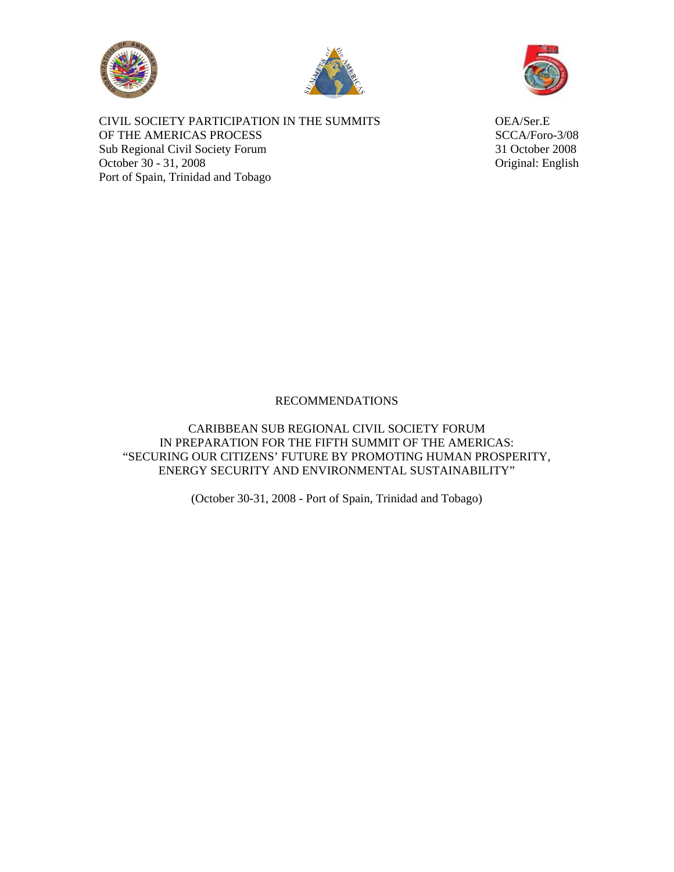





CIVIL SOCIETY PARTICIPATION IN THE SUMMITS OEA/Ser.E OF THE AMERICAS PROCESS SCCA/Foro-3/08 Sub Regional Civil Society Forum 31 October 2008 October 30 - 31, 2008 Original: English Port of Spain, Trinidad and Tobago

# RECOMMENDATIONS

CARIBBEAN SUB REGIONAL CIVIL SOCIETY FORUM IN PREPARATION FOR THE FIFTH SUMMIT OF THE AMERICAS: "SECURING OUR CITIZENS' FUTURE BY PROMOTING HUMAN PROSPERITY, ENERGY SECURITY AND ENVIRONMENTAL SUSTAINABILITY"

(October 30-31, 2008 - Port of Spain, Trinidad and Tobago)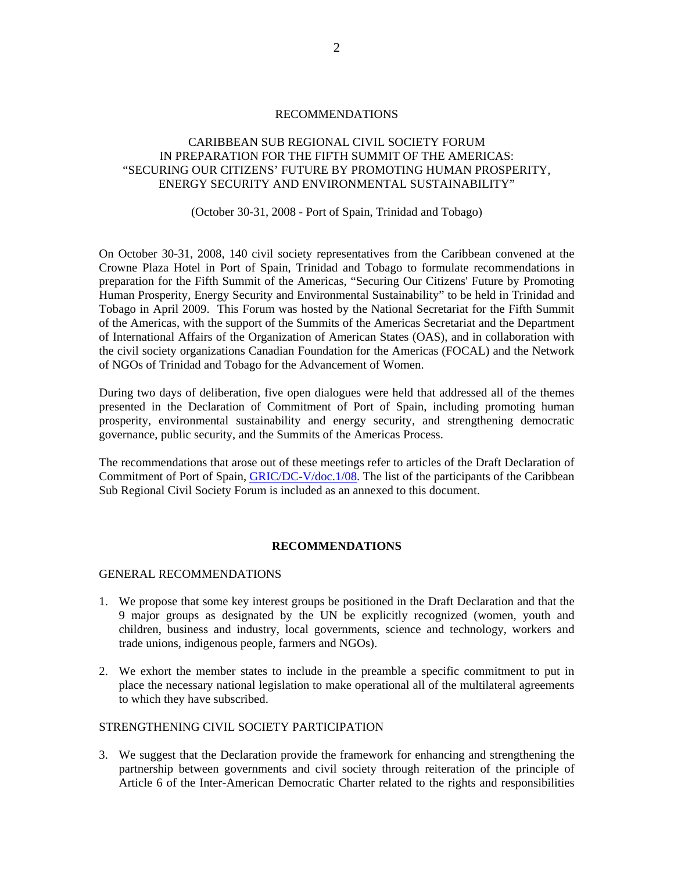#### RECOMMENDATIONS

# CARIBBEAN SUB REGIONAL CIVIL SOCIETY FORUM IN PREPARATION FOR THE FIFTH SUMMIT OF THE AMERICAS: "SECURING OUR CITIZENS' FUTURE BY PROMOTING HUMAN PROSPERITY, ENERGY SECURITY AND ENVIRONMENTAL SUSTAINABILITY"

#### (October 30-31, 2008 - Port of Spain, Trinidad and Tobago)

On October 30-31, 2008, 140 civil society representatives from the Caribbean convened at the Crowne Plaza Hotel in Port of Spain, Trinidad and Tobago to formulate recommendations in preparation for the Fifth Summit of the Americas, "Securing Our Citizens' Future by Promoting Human Prosperity, Energy Security and Environmental Sustainability" to be held in Trinidad and Tobago in April 2009. This Forum was hosted by the National Secretariat for the Fifth Summit of the Americas, with the support of the Summits of the Americas Secretariat and the Department of International Affairs of the Organization of American States (OAS), and in collaboration with the civil society organizations Canadian Foundation for the Americas (FOCAL) and the Network of NGOs of Trinidad and Tobago for the Advancement of Women.

During two days of deliberation, five open dialogues were held that addressed all of the themes presented in the Declaration of Commitment of Port of Spain, including promoting human prosperity, environmental sustainability and energy security, and strengthening democratic governance, public security, and the Summits of the Americas Process.

The recommendations that arose out of these meetings refer to articles of the Draft Declaration of Commitment of Port of Spain, [GRIC/DC-V/doc.1/08](http://www.summit-americas.org/SIRG/SIRG_0708/V_Summit_Draft_Decl_Commitment_POS_0708_En.pdf). The list of the participants of the Caribbean Sub Regional Civil Society Forum is included as an annexed to this document.

# **RECOMMENDATIONS**

#### GENERAL RECOMMENDATIONS

- 1. We propose that some key interest groups be positioned in the Draft Declaration and that the 9 major groups as designated by the UN be explicitly recognized (women, youth and children, business and industry, local governments, science and technology, workers and trade unions, indigenous people, farmers and NGOs).
- 2. We exhort the member states to include in the preamble a specific commitment to put in place the necessary national legislation to make operational all of the multilateral agreements to which they have subscribed.

# STRENGTHENING CIVIL SOCIETY PARTICIPATION

3. We suggest that the Declaration provide the framework for enhancing and strengthening the partnership between governments and civil society through reiteration of the principle of Article 6 of the Inter-American Democratic Charter related to the rights and responsibilities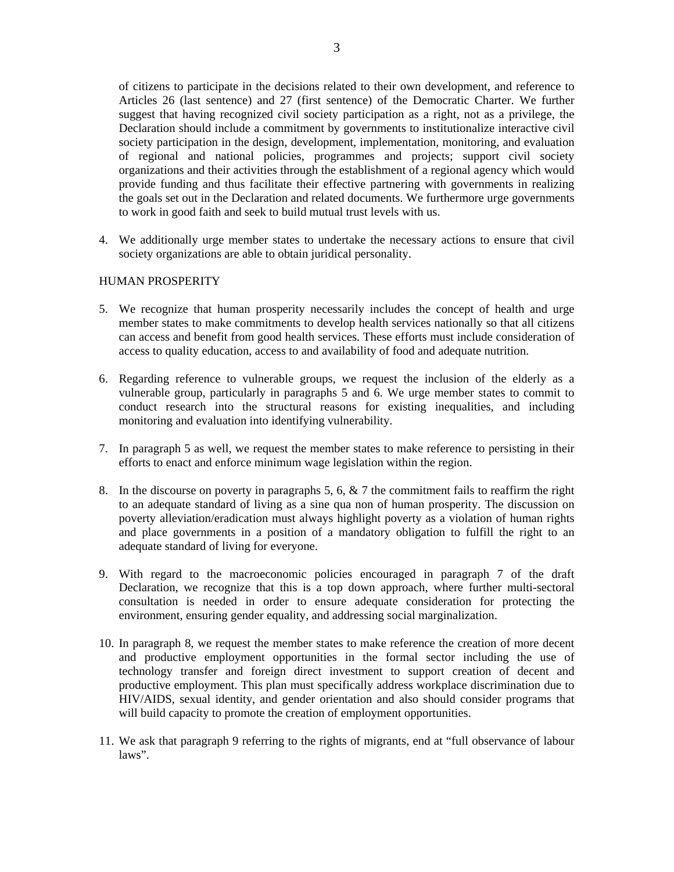of citizens to participate in the decisions related to their own development, and reference to Articles 26 (last sentence) and 27 (first sentence) of the Democratic Charter. We further suggest that having recognized civil society participation as a right, not as a privilege, the Declaration should include a commitment by governments to institutionalize interactive civil society participation in the design, development, implementation, monitoring, and evaluation of regional and national policies, programmes and projects; support civil society organizations and their activities through the establishment of a regional agency which would provide funding and thus facilitate their effective partnering with governments in realizing the goals set out in the Declaration and related documents. We furthermore urge governments to work in good faith and seek to build mutual trust levels with us.

4. We additionally urge member states to undertake the necessary actions to ensure that civil society organizations are able to obtain juridical personality.

# HUMAN PROSPERITY

- 5. We recognize that human prosperity necessarily includes the concept of health and urge member states to make commitments to develop health services nationally so that all citizens can access and benefit from good health services. These efforts must include consideration of access to quality education, access to and availability of food and adequate nutrition.
- 6. Regarding reference to vulnerable groups, we request the inclusion of the elderly as a vulnerable group, particularly in paragraphs 5 and 6. We urge member states to commit to conduct research into the structural reasons for existing inequalities, and including monitoring and evaluation into identifying vulnerability.
- 7. In paragraph 5 as well, we request the member states to make reference to persisting in their efforts to enact and enforce minimum wage legislation within the region.
- 8. In the discourse on poverty in paragraphs 5, 6,  $\&$  7 the commitment fails to reaffirm the right to an adequate standard of living as a sine qua non of human prosperity. The discussion on poverty alleviation/eradication must always highlight poverty as a violation of human rights and place governments in a position of a mandatory obligation to fulfill the right to an adequate standard of living for everyone.
- 9. With regard to the macroeconomic policies encouraged in paragraph 7 of the draft Declaration, we recognize that this is a top down approach, where further multi-sectoral consultation is needed in order to ensure adequate consideration for protecting the environment, ensuring gender equality, and addressing social marginalization.
- 10. In paragraph 8, we request the member states to make reference the creation of more decent and productive employment opportunities in the formal sector including the use of technology transfer and foreign direct investment to support creation of decent and productive employment. This plan must specifically address workplace discrimination due to HIV/AIDS, sexual identity, and gender orientation and also should consider programs that will build capacity to promote the creation of employment opportunities.
- 11. We ask that paragraph 9 referring to the rights of migrants, end at "full observance of labour laws".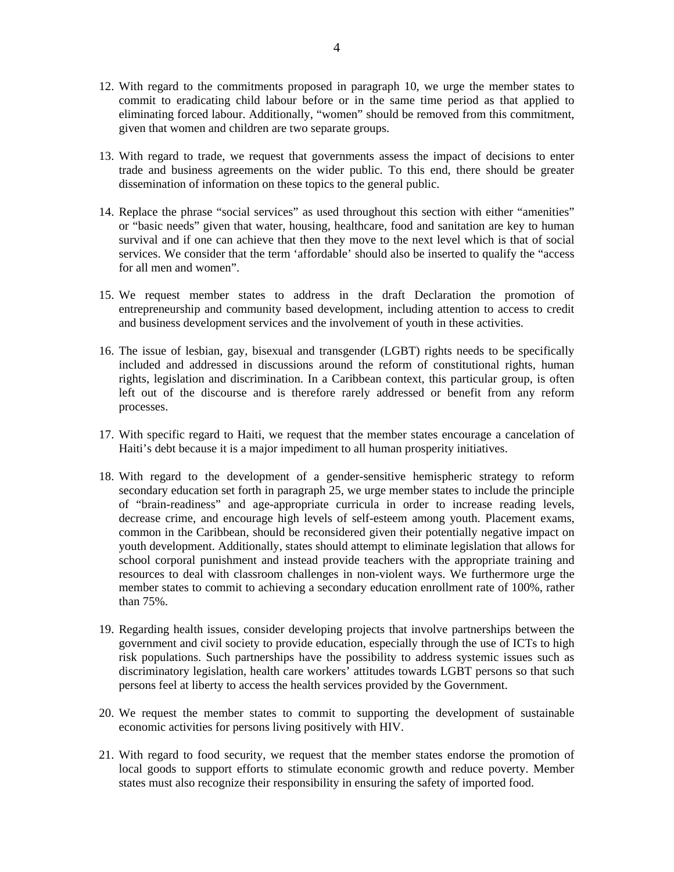- 12. With regard to the commitments proposed in paragraph 10, we urge the member states to commit to eradicating child labour before or in the same time period as that applied to eliminating forced labour. Additionally, "women" should be removed from this commitment, given that women and children are two separate groups.
- 13. With regard to trade, we request that governments assess the impact of decisions to enter trade and business agreements on the wider public. To this end, there should be greater dissemination of information on these topics to the general public.
- 14. Replace the phrase "social services" as used throughout this section with either "amenities" or "basic needs" given that water, housing, healthcare, food and sanitation are key to human survival and if one can achieve that then they move to the next level which is that of social services. We consider that the term 'affordable' should also be inserted to qualify the "access for all men and women".
- 15. We request member states to address in the draft Declaration the promotion of entrepreneurship and community based development, including attention to access to credit and business development services and the involvement of youth in these activities.
- 16. The issue of lesbian, gay, bisexual and transgender (LGBT) rights needs to be specifically included and addressed in discussions around the reform of constitutional rights, human rights, legislation and discrimination. In a Caribbean context, this particular group, is often left out of the discourse and is therefore rarely addressed or benefit from any reform processes.
- 17. With specific regard to Haiti, we request that the member states encourage a cancelation of Haiti's debt because it is a major impediment to all human prosperity initiatives.
- 18. With regard to the development of a gender-sensitive hemispheric strategy to reform secondary education set forth in paragraph 25, we urge member states to include the principle of "brain-readiness" and age-appropriate curricula in order to increase reading levels, decrease crime, and encourage high levels of self-esteem among youth. Placement exams, common in the Caribbean, should be reconsidered given their potentially negative impact on youth development. Additionally, states should attempt to eliminate legislation that allows for school corporal punishment and instead provide teachers with the appropriate training and resources to deal with classroom challenges in non-violent ways. We furthermore urge the member states to commit to achieving a secondary education enrollment rate of 100%, rather than 75%.
- 19. Regarding health issues, consider developing projects that involve partnerships between the government and civil society to provide education, especially through the use of ICTs to high risk populations. Such partnerships have the possibility to address systemic issues such as discriminatory legislation, health care workers' attitudes towards LGBT persons so that such persons feel at liberty to access the health services provided by the Government.
- 20. We request the member states to commit to supporting the development of sustainable economic activities for persons living positively with HIV.
- 21. With regard to food security, we request that the member states endorse the promotion of local goods to support efforts to stimulate economic growth and reduce poverty. Member states must also recognize their responsibility in ensuring the safety of imported food.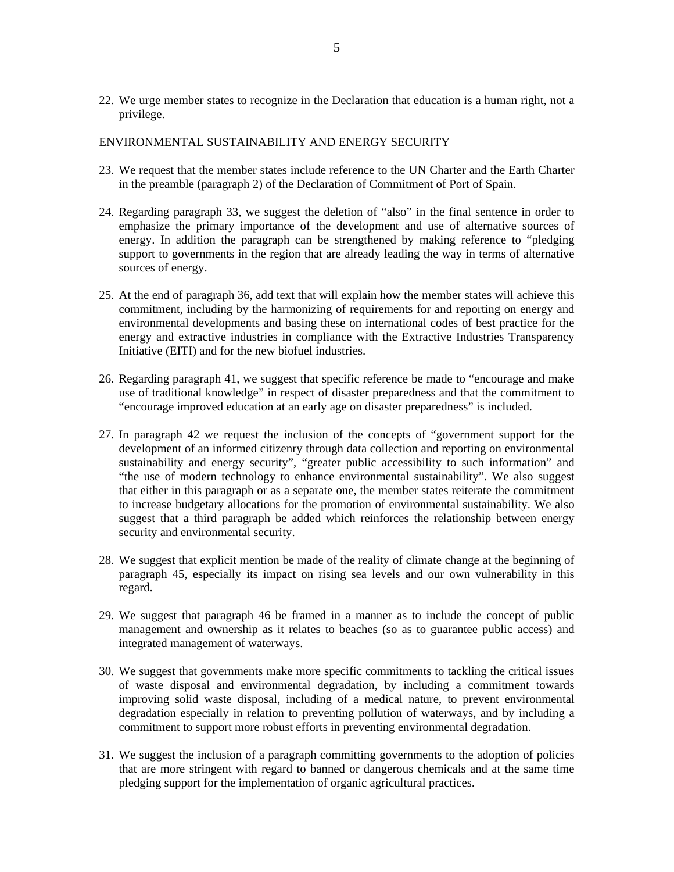22. We urge member states to recognize in the Declaration that education is a human right, not a privilege.

### ENVIRONMENTAL SUSTAINABILITY AND ENERGY SECURITY

- 23. We request that the member states include reference to the UN Charter and the Earth Charter in the preamble (paragraph 2) of the Declaration of Commitment of Port of Spain.
- 24. Regarding paragraph 33, we suggest the deletion of "also" in the final sentence in order to emphasize the primary importance of the development and use of alternative sources of energy. In addition the paragraph can be strengthened by making reference to "pledging support to governments in the region that are already leading the way in terms of alternative sources of energy.
- 25. At the end of paragraph 36, add text that will explain how the member states will achieve this commitment, including by the harmonizing of requirements for and reporting on energy and environmental developments and basing these on international codes of best practice for the energy and extractive industries in compliance with the Extractive Industries Transparency Initiative (EITI) and for the new biofuel industries.
- 26. Regarding paragraph 41, we suggest that specific reference be made to "encourage and make use of traditional knowledge" in respect of disaster preparedness and that the commitment to "encourage improved education at an early age on disaster preparedness" is included.
- 27. In paragraph 42 we request the inclusion of the concepts of "government support for the development of an informed citizenry through data collection and reporting on environmental sustainability and energy security", "greater public accessibility to such information" and "the use of modern technology to enhance environmental sustainability". We also suggest that either in this paragraph or as a separate one, the member states reiterate the commitment to increase budgetary allocations for the promotion of environmental sustainability. We also suggest that a third paragraph be added which reinforces the relationship between energy security and environmental security.
- 28. We suggest that explicit mention be made of the reality of climate change at the beginning of paragraph 45, especially its impact on rising sea levels and our own vulnerability in this regard.
- 29. We suggest that paragraph 46 be framed in a manner as to include the concept of public management and ownership as it relates to beaches (so as to guarantee public access) and integrated management of waterways.
- 30. We suggest that governments make more specific commitments to tackling the critical issues of waste disposal and environmental degradation, by including a commitment towards improving solid waste disposal, including of a medical nature, to prevent environmental degradation especially in relation to preventing pollution of waterways, and by including a commitment to support more robust efforts in preventing environmental degradation.
- 31. We suggest the inclusion of a paragraph committing governments to the adoption of policies that are more stringent with regard to banned or dangerous chemicals and at the same time pledging support for the implementation of organic agricultural practices.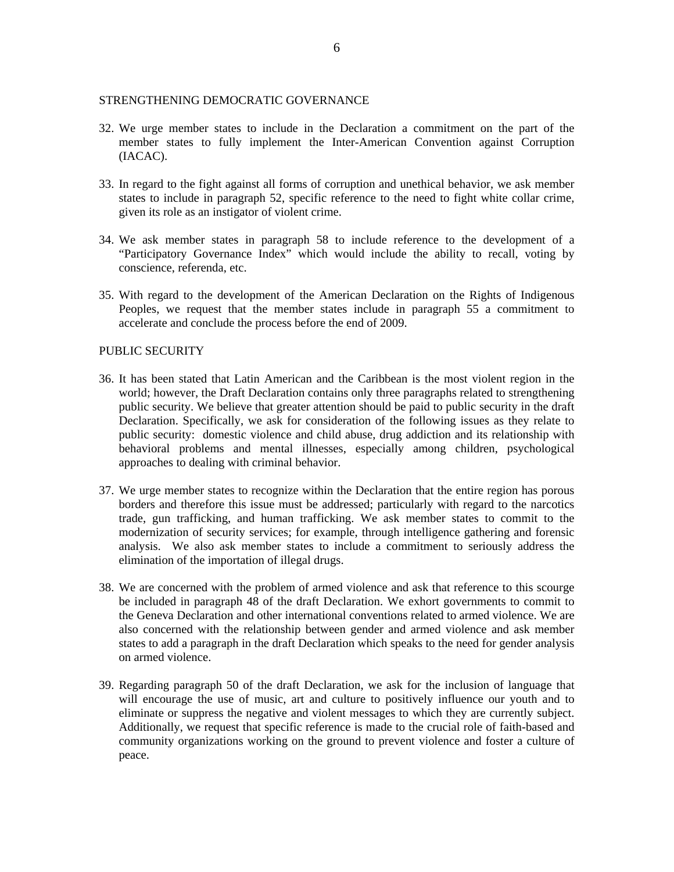#### STRENGTHENING DEMOCRATIC GOVERNANCE

- 32. We urge member states to include in the Declaration a commitment on the part of the member states to fully implement the Inter-American Convention against Corruption (IACAC).
- 33. In regard to the fight against all forms of corruption and unethical behavior, we ask member states to include in paragraph 52, specific reference to the need to fight white collar crime, given its role as an instigator of violent crime.
- 34. We ask member states in paragraph 58 to include reference to the development of a "Participatory Governance Index" which would include the ability to recall, voting by conscience, referenda, etc.
- 35. With regard to the development of the American Declaration on the Rights of Indigenous Peoples, we request that the member states include in paragraph 55 a commitment to accelerate and conclude the process before the end of 2009.

#### PUBLIC SECURITY

- 36. It has been stated that Latin American and the Caribbean is the most violent region in the world; however, the Draft Declaration contains only three paragraphs related to strengthening public security. We believe that greater attention should be paid to public security in the draft Declaration. Specifically, we ask for consideration of the following issues as they relate to public security: domestic violence and child abuse, drug addiction and its relationship with behavioral problems and mental illnesses, especially among children, psychological approaches to dealing with criminal behavior.
- 37. We urge member states to recognize within the Declaration that the entire region has porous borders and therefore this issue must be addressed; particularly with regard to the narcotics trade, gun trafficking, and human trafficking. We ask member states to commit to the modernization of security services; for example, through intelligence gathering and forensic analysis. We also ask member states to include a commitment to seriously address the elimination of the importation of illegal drugs.
- 38. We are concerned with the problem of armed violence and ask that reference to this scourge be included in paragraph 48 of the draft Declaration. We exhort governments to commit to the Geneva Declaration and other international conventions related to armed violence. We are also concerned with the relationship between gender and armed violence and ask member states to add a paragraph in the draft Declaration which speaks to the need for gender analysis on armed violence.
- 39. Regarding paragraph 50 of the draft Declaration, we ask for the inclusion of language that will encourage the use of music, art and culture to positively influence our youth and to eliminate or suppress the negative and violent messages to which they are currently subject. Additionally, we request that specific reference is made to the crucial role of faith-based and community organizations working on the ground to prevent violence and foster a culture of peace.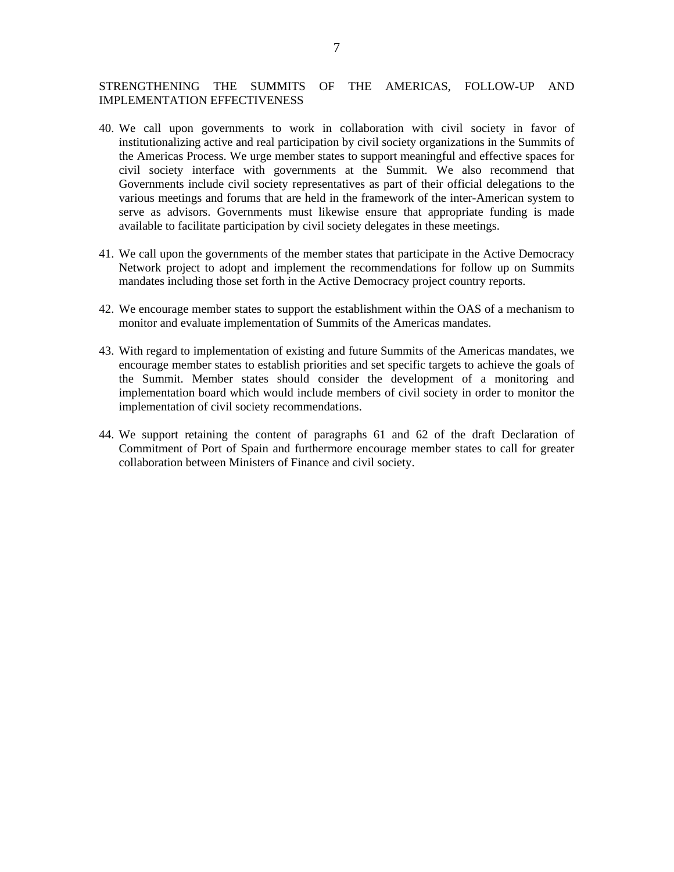### STRENGTHENING THE SUMMITS OF THE AMERICAS, FOLLOW-UP AND IMPLEMENTATION EFFECTIVENESS

- 40. We call upon governments to work in collaboration with civil society in favor of institutionalizing active and real participation by civil society organizations in the Summits of the Americas Process. We urge member states to support meaningful and effective spaces for civil society interface with governments at the Summit. We also recommend that Governments include civil society representatives as part of their official delegations to the various meetings and forums that are held in the framework of the inter-American system to serve as advisors. Governments must likewise ensure that appropriate funding is made available to facilitate participation by civil society delegates in these meetings.
- 41. We call upon the governments of the member states that participate in the Active Democracy Network project to adopt and implement the recommendations for follow up on Summits mandates including those set forth in the Active Democracy project country reports.
- 42. We encourage member states to support the establishment within the OAS of a mechanism to monitor and evaluate implementation of Summits of the Americas mandates.
- 43. With regard to implementation of existing and future Summits of the Americas mandates, we encourage member states to establish priorities and set specific targets to achieve the goals of the Summit. Member states should consider the development of a monitoring and implementation board which would include members of civil society in order to monitor the implementation of civil society recommendations.
- 44. We support retaining the content of paragraphs 61 and 62 of the draft Declaration of Commitment of Port of Spain and furthermore encourage member states to call for greater collaboration between Ministers of Finance and civil society.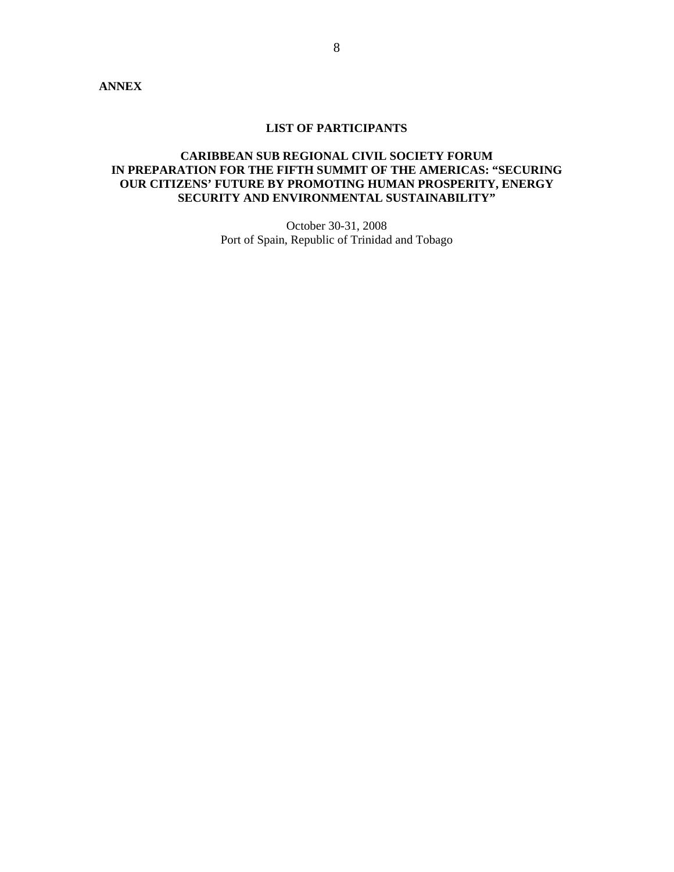#### **LIST OF PARTICIPANTS**

# **CARIBBEAN SUB REGIONAL CIVIL SOCIETY FORUM IN PREPARATION FOR THE FIFTH SUMMIT OF THE AMERICAS: "SECURING OUR CITIZENS' FUTURE BY PROMOTING HUMAN PROSPERITY, ENERGY SECURITY AND ENVIRONMENTAL SUSTAINABILITY"**

October 30-31, 2008 Port of Spain, Republic of Trinidad and Tobago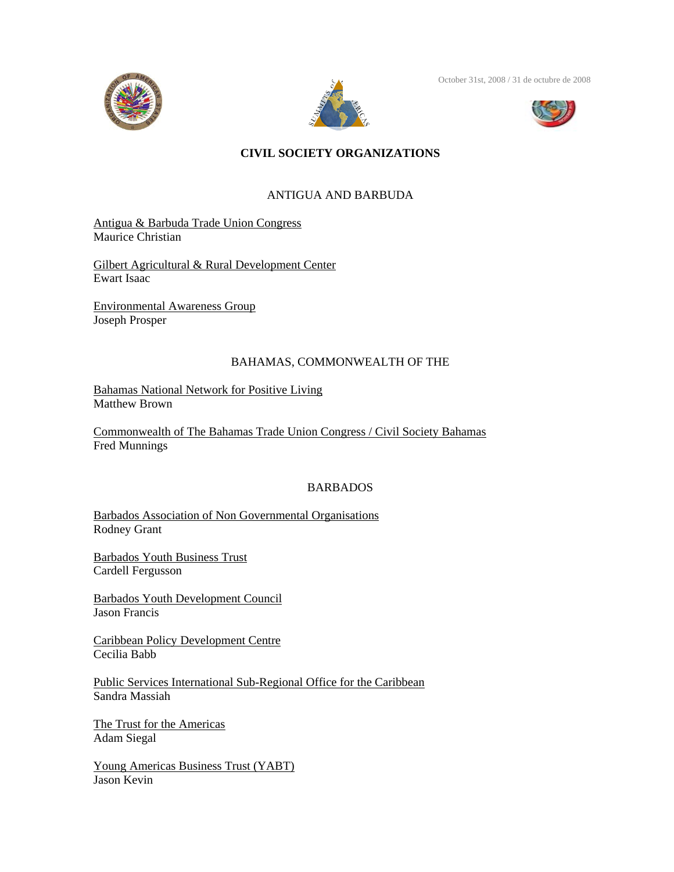



October 31st, 2008 / 31 de octubre de 2008



# **CIVIL SOCIETY ORGANIZATIONS**

# ANTIGUA AND BARBUDA

Antigua & Barbuda Trade Union Congress Maurice Christian

Gilbert Agricultural & Rural Development Center Ewart Isaac

Environmental Awareness Group Joseph Prosper

# BAHAMAS, COMMONWEALTH OF THE

Bahamas National Network for Positive Living Matthew Brown

Commonwealth of The Bahamas Trade Union Congress / Civil Society Bahamas Fred Munnings

# BARBADOS

Barbados Association of Non Governmental Organisations Rodney Grant

Barbados Youth Business Trust Cardell Fergusson

Barbados Youth Development Council Jason Francis

Caribbean Policy Development Centre Cecilia Babb

Public Services International Sub-Regional Office for the Caribbean Sandra Massiah

The Trust for the Americas Adam Siegal

Young Americas Business Trust (YABT) Jason Kevin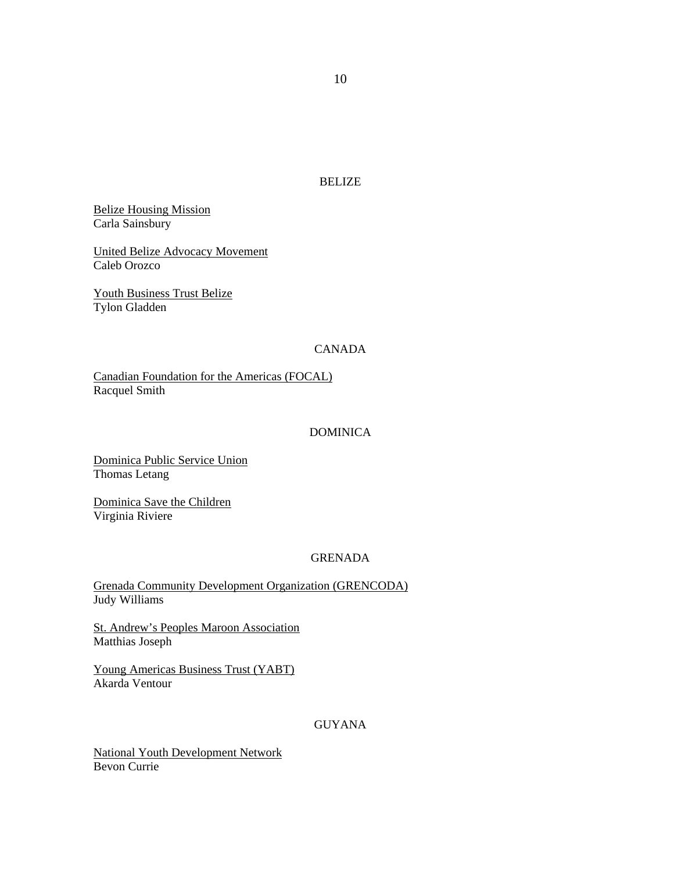BELIZE

Belize Housing Mission Carla Sainsbury

United Belize Advocacy Movement Caleb Orozco

Youth Business Trust Belize Tylon Gladden

# CANADA

Canadian Foundation for the Americas (FOCAL) Racquel Smith

### DOMINICA

Dominica Public Service Union Thomas Letang

Dominica Save the Children Virginia Riviere

# GRENADA

Grenada Community Development Organization (GRENCODA) Judy Williams

St. Andrew's Peoples Maroon Association Matthias Joseph

Young Americas Business Trust (YABT) Akarda Ventour

GUYANA

National Youth Development Network Bevon Currie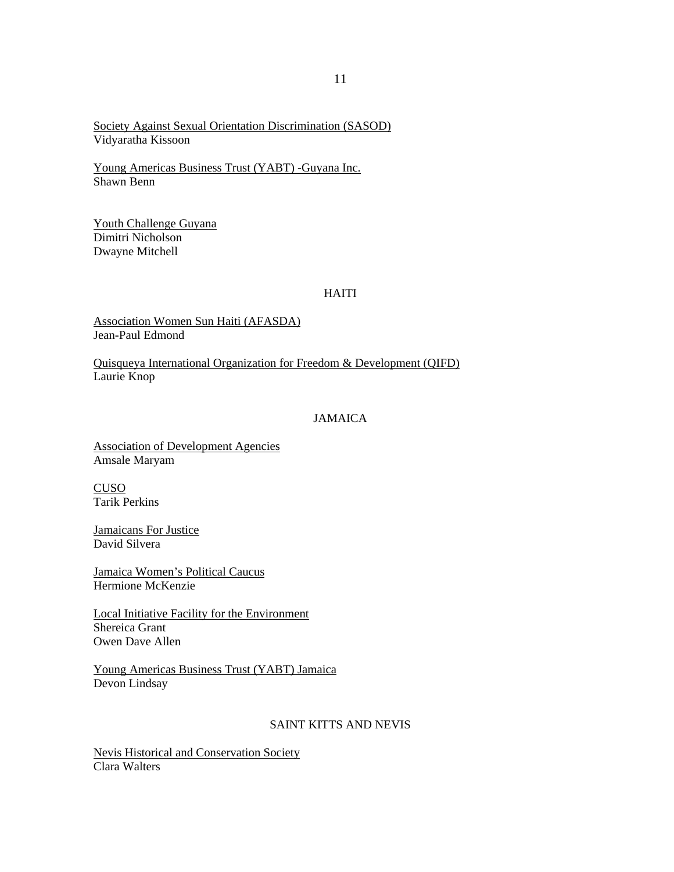Society Against Sexual Orientation Discrimination (SASOD) Vidyaratha Kissoon

Young Americas Business Trust (YABT) -Guyana Inc. Shawn Benn

Youth Challenge Guyana Dimitri Nicholson Dwayne Mitchell

## HAITI

Association Women Sun Haiti (AFASDA) Jean-Paul Edmond

Quisqueya International Organization for Freedom & Development (QIFD) Laurie Knop

### JAMAICA

Association of Development Agencies Amsale Maryam

CUSO Tarik Perkins

Jamaicans For Justice David Silvera

Jamaica Women's Political Caucus Hermione McKenzie

Local Initiative Facility for the Environment Shereica Grant Owen Dave Allen

Young Americas Business Trust (YABT) Jamaica Devon Lindsay

#### SAINT KITTS AND NEVIS

Nevis Historical and Conservation Society Clara Walters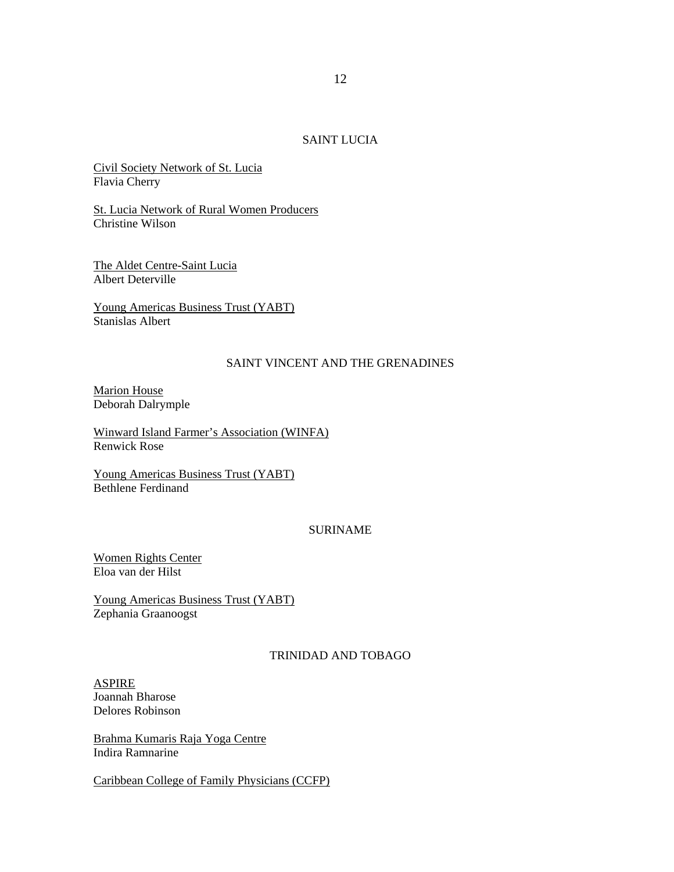#### SAINT LUCIA

Civil Society Network of St. Lucia Flavia Cherry

St. Lucia Network of Rural Women Producers Christine Wilson

The Aldet Centre-Saint Lucia Albert Deterville

Young Americas Business Trust (YABT) Stanislas Albert

### SAINT VINCENT AND THE GRENADINES

Marion House Deborah Dalrymple

Winward Island Farmer's Association (WINFA) Renwick Rose

Young Americas Business Trust (YABT) Bethlene Ferdinand

#### SURINAME

Women Rights Center Eloa van der Hilst

Young Americas Business Trust (YABT) Zephania Graanoogst

# TRINIDAD AND TOBAGO

ASPIRE Joannah Bharose Delores Robinson

Brahma Kumaris Raja Yoga Centre Indira Ramnarine

Caribbean College of Family Physicians (CCFP)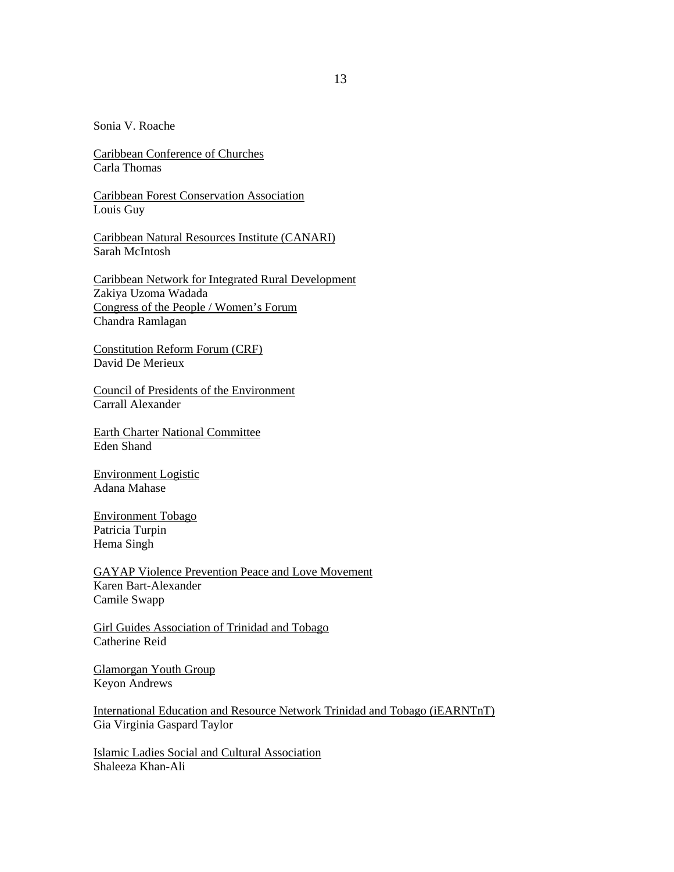Sonia V. Roache

Caribbean Conference of Churches Carla Thomas

Caribbean Forest Conservation Association Louis Guy

Caribbean Natural Resources Institute (CANARI) Sarah McIntosh

Caribbean Network for Integrated Rural Development Zakiya Uzoma Wadada Congress of the People / Women's Forum Chandra Ramlagan

Constitution Reform Forum (CRF) David De Merieux

Council of Presidents of the Environment Carrall Alexander

Earth Charter National Committee Eden Shand

Environment Logistic Adana Mahase

Environment Tobago Patricia Turpin Hema Singh

GAYAP Violence Prevention Peace and Love Movement Karen Bart-Alexander Camile Swapp

Girl Guides Association of Trinidad and Tobago Catherine Reid

Glamorgan Youth Group Keyon Andrews

International Education and Resource Network Trinidad and Tobago (iEARNTnT) Gia Virginia Gaspard Taylor

Islamic Ladies Social and Cultural Association Shaleeza Khan-Ali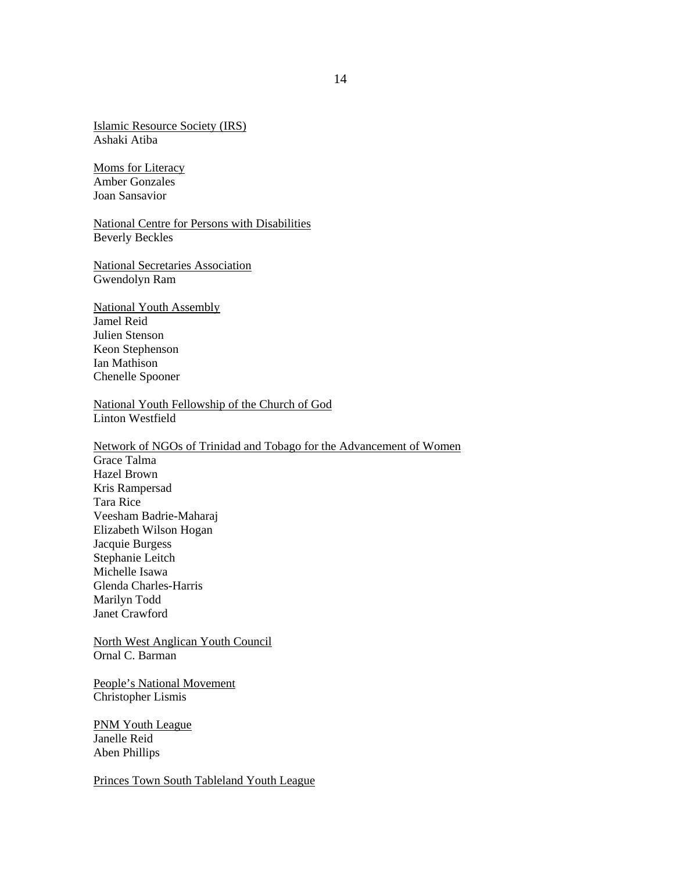Islamic Resource Society (IRS) Ashaki Atiba

Moms for Literacy Amber Gonzales Joan Sansavior

National Centre for Persons with Disabilities Beverly Beckles

National Secretaries Association Gwendolyn Ram

National Youth Assembly Jamel Reid Julien Stenson Keon Stephenson Ian Mathison Chenelle Spooner

National Youth Fellowship of the Church of God Linton Westfield

Network of NGOs of Trinidad and Tobago for the Advancement of Women Grace Talma Hazel Brown Kris Rampersad Tara Rice Veesham Badrie-Maharaj Elizabeth Wilson Hogan Jacquie Burgess Stephanie Leitch Michelle Isawa Glenda Charles-Harris Marilyn Todd Janet Crawford

North West Anglican Youth Council Ornal C. Barman

People's National Movement Christopher Lismis

**PNM Youth League** Janelle Reid Aben Phillips

Princes Town South Tableland Youth League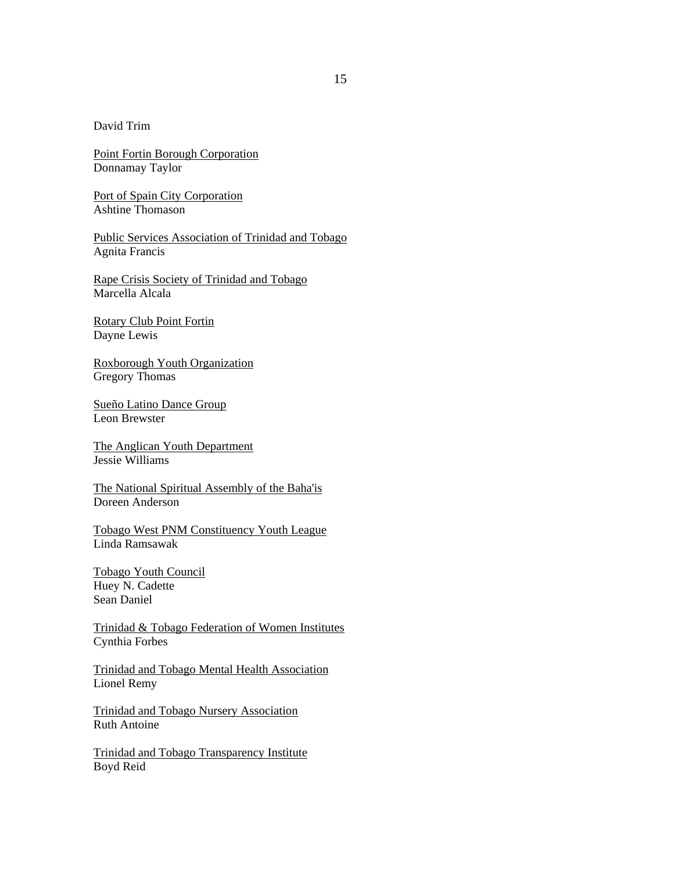David Trim

Point Fortin Borough Corporation Donnamay Taylor

Port of Spain City Corporation Ashtine Thomason

Public Services Association of Trinidad and Tobago Agnita Francis

Rape Crisis Society of Trinidad and Tobago Marcella Alcala

Rotary Club Point Fortin Dayne Lewis

Roxborough Youth Organization Gregory Thomas

Sueño Latino Dance Group Leon Brewster

The Anglican Youth Department Jessie Williams

The National Spiritual Assembly of the Baha'is Doreen Anderson

Tobago West PNM Constituency Youth League Linda Ramsawak

Tobago Youth Council Huey N. Cadette Sean Daniel

Trinidad & Tobago Federation of Women Institutes Cynthia Forbes

Trinidad and Tobago Mental Health Association Lionel Remy

Trinidad and Tobago Nursery Association Ruth Antoine

Trinidad and Tobago Transparency Institute Boyd Reid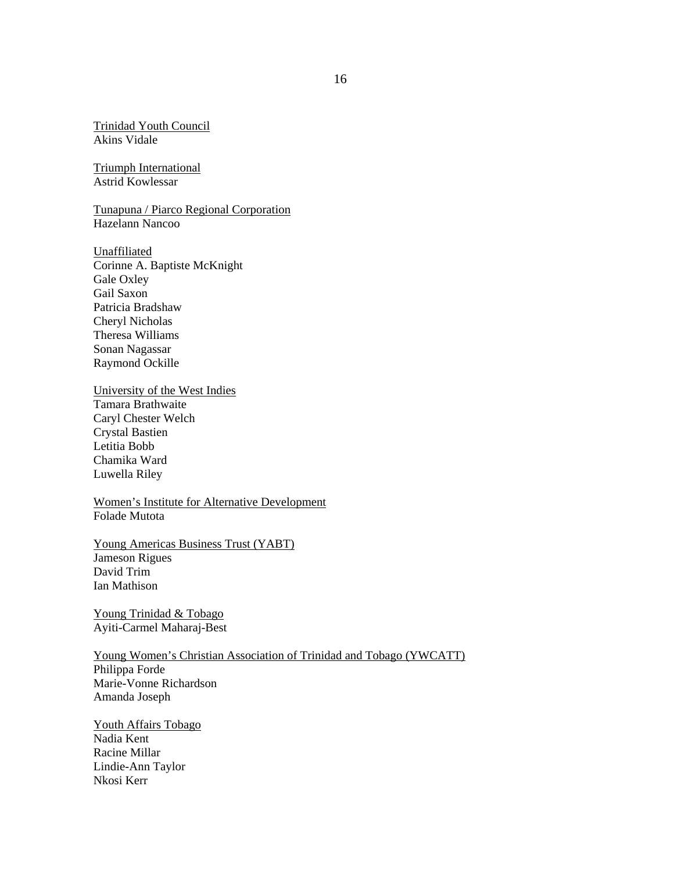Trinidad Youth Council Akins Vidale

Triumph International Astrid Kowlessar

Tunapuna / Piarco Regional Corporation Hazelann Nancoo

Unaffiliated Corinne A. Baptiste McKnight Gale Oxley Gail Saxon Patricia Bradshaw Cheryl Nicholas Theresa Williams Sonan Nagassar Raymond Ockille

University of the West Indies Tamara Brathwaite Caryl Chester Welch Crystal Bastien Letitia Bobb Chamika Ward Luwella Riley

Women's Institute for Alternative Development Folade Mutota

Young Americas Business Trust (YABT) Jameson Rigues David Trim Ian Mathison

Young Trinidad & Tobago Ayiti-Carmel Maharaj-Best

Young Women's Christian Association of Trinidad and Tobago (YWCATT) Philippa Forde Marie-Vonne Richardson Amanda Joseph

Youth Affairs Tobago Nadia Kent Racine Millar Lindie-Ann Taylor Nkosi Kerr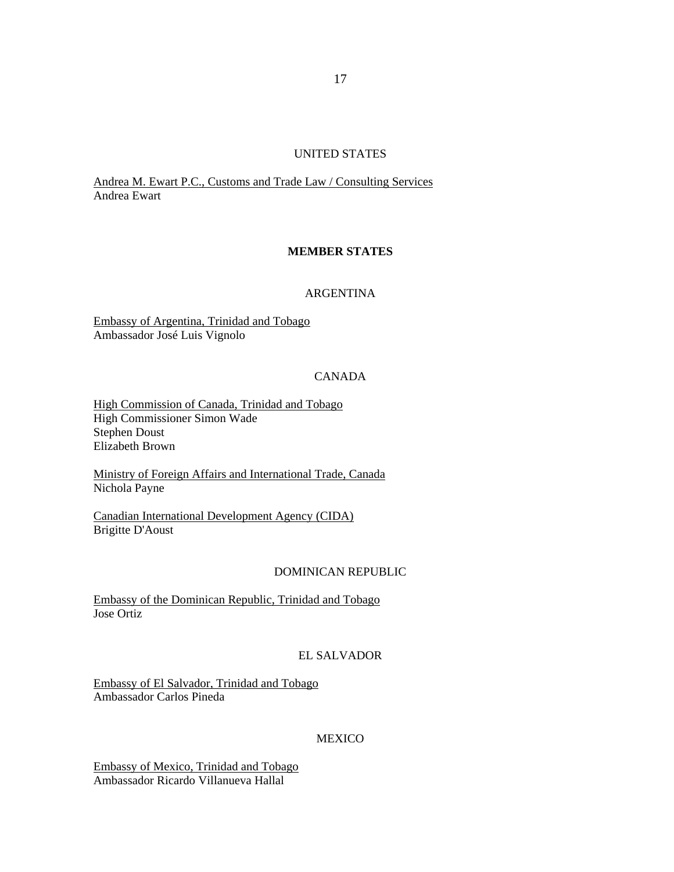#### UNITED STATES

Andrea M. Ewart P.C., Customs and Trade Law / Consulting Services Andrea Ewart

### **MEMBER STATES**

#### ARGENTINA

Embassy of Argentina, Trinidad and Tobago Ambassador José Luis Vignolo

# CANADA

High Commission of Canada, Trinidad and Tobago High Commissioner Simon Wade Stephen Doust Elizabeth Brown

Ministry of Foreign Affairs and International Trade, Canada Nichola Payne

Canadian International Development Agency (CIDA) Brigitte D'Aoust

#### DOMINICAN REPUBLIC

Embassy of the Dominican Republic, Trinidad and Tobago Jose Ortiz

## EL SALVADOR

Embassy of El Salvador, Trinidad and Tobago Ambassador Carlos Pineda

#### MEXICO

Embassy of Mexico, Trinidad and Tobago Ambassador Ricardo Villanueva Hallal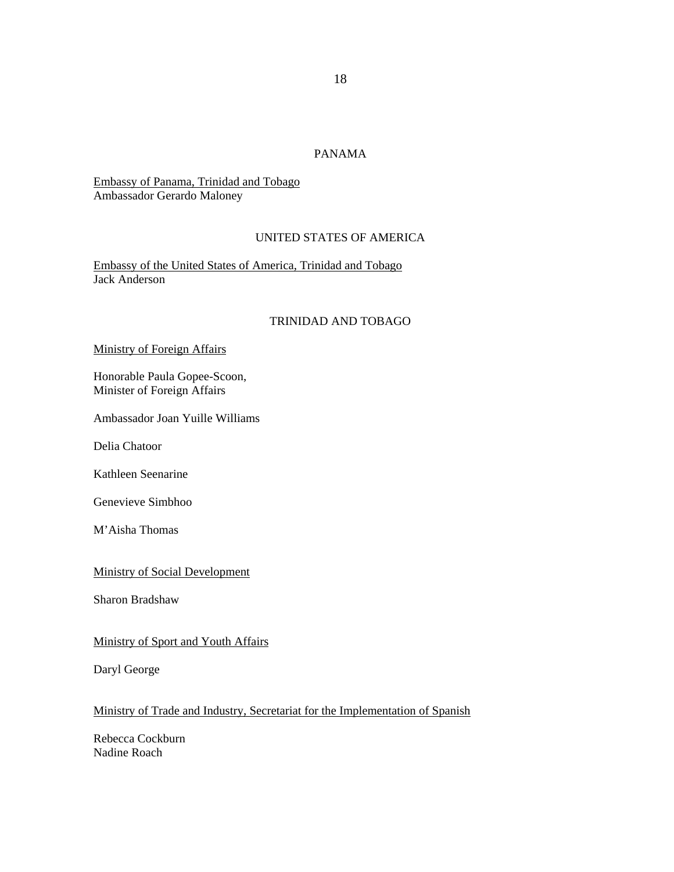# PANAMA

Embassy of Panama, Trinidad and Tobago Ambassador Gerardo Maloney

# UNITED STATES OF AMERICA

Embassy of the United States of America, Trinidad and Tobago Jack Anderson

# TRINIDAD AND TOBAGO

#### Ministry of Foreign Affairs

Honorable Paula Gopee-Scoon, Minister of Foreign Affairs

Ambassador Joan Yuille Williams

Delia Chatoor

Kathleen Seenarine

Genevieve Simbhoo

M'Aisha Thomas

#### Ministry of Social Development

Sharon Bradshaw

#### Ministry of Sport and Youth Affairs

Daryl George

# Ministry of Trade and Industry, Secretariat for the Implementation of Spanish

Rebecca Cockburn Nadine Roach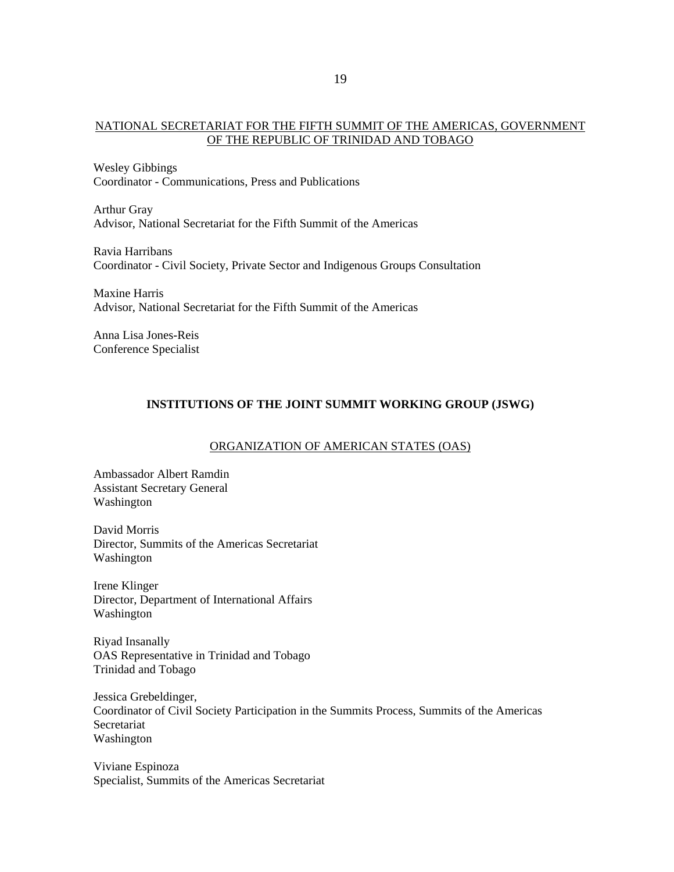### NATIONAL SECRETARIAT FOR THE FIFTH SUMMIT OF THE AMERICAS, GOVERNMENT OF THE REPUBLIC OF TRINIDAD AND TOBAGO

Wesley Gibbings Coordinator - Communications, Press and Publications

Arthur Gray Advisor, National Secretariat for the Fifth Summit of the Americas

Ravia Harribans Coordinator - Civil Society, Private Sector and Indigenous Groups Consultation

Maxine Harris Advisor, National Secretariat for the Fifth Summit of the Americas

Anna Lisa Jones-Reis Conference Specialist

### **INSTITUTIONS OF THE JOINT SUMMIT WORKING GROUP (JSWG)**

### ORGANIZATION OF AMERICAN STATES (OAS)

Ambassador Albert Ramdin Assistant Secretary General Washington

David Morris Director, Summits of the Americas Secretariat Washington

Irene Klinger Director, Department of International Affairs Washington

Riyad Insanally OAS Representative in Trinidad and Tobago Trinidad and Tobago

Jessica Grebeldinger, Coordinator of Civil Society Participation in the Summits Process, Summits of the Americas Secretariat Washington

Viviane Espinoza Specialist, Summits of the Americas Secretariat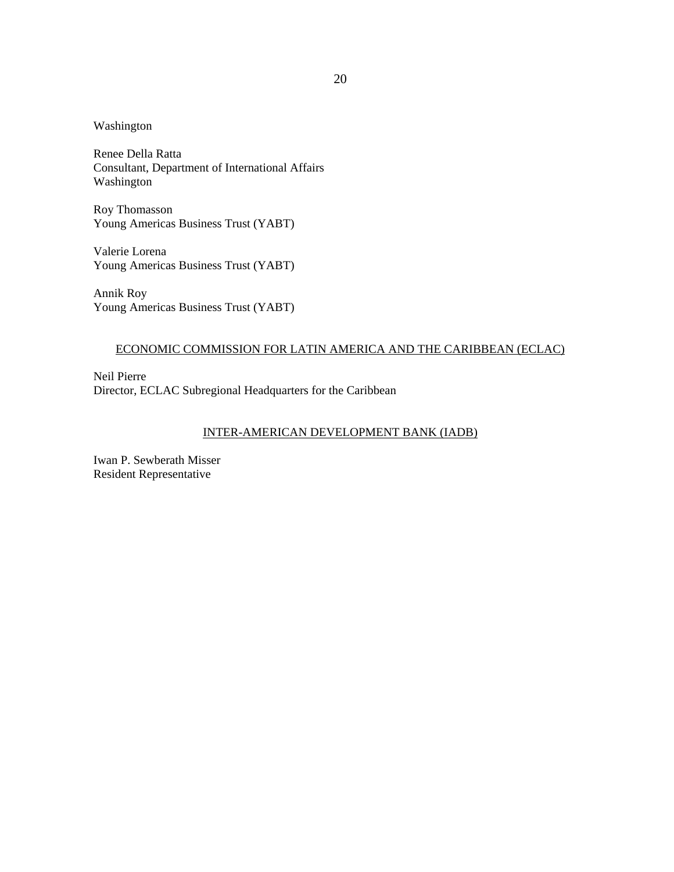### Washington

Renee Della Ratta Consultant, Department of International Affairs Washington

Roy Thomasson Young Americas Business Trust (YABT)

Valerie Lorena Young Americas Business Trust (YABT)

Annik Roy Young Americas Business Trust (YABT)

# ECONOMIC COMMISSION FOR LATIN AMERICA AND THE CARIBBEAN (ECLAC)

Neil Pierre Director, ECLAC Subregional Headquarters for the Caribbean

### INTER-AMERICAN DEVELOPMENT BANK (IADB)

Iwan P. Sewberath Misser Resident Representative